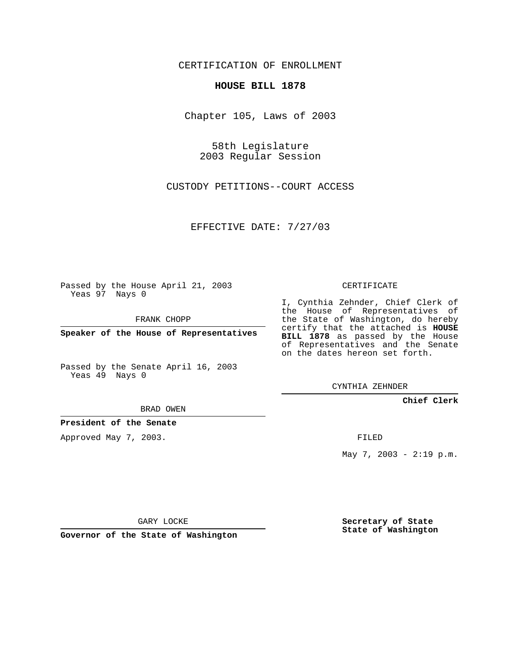CERTIFICATION OF ENROLLMENT

## **HOUSE BILL 1878**

Chapter 105, Laws of 2003

58th Legislature 2003 Regular Session

CUSTODY PETITIONS--COURT ACCESS

EFFECTIVE DATE: 7/27/03

Passed by the House April 21, 2003 Yeas 97 Nays 0

FRANK CHOPP

**Speaker of the House of Representatives**

Passed by the Senate April 16, 2003 Yeas 49 Nays 0

BRAD OWEN

**President of the Senate**

Approved May 7, 2003.

CERTIFICATE

I, Cynthia Zehnder, Chief Clerk of the House of Representatives of the State of Washington, do hereby certify that the attached is **HOUSE BILL 1878** as passed by the House of Representatives and the Senate on the dates hereon set forth.

CYNTHIA ZEHNDER

**Chief Clerk**

FILED

May 7, 2003 - 2:19 p.m.

GARY LOCKE

**Governor of the State of Washington**

**Secretary of State State of Washington**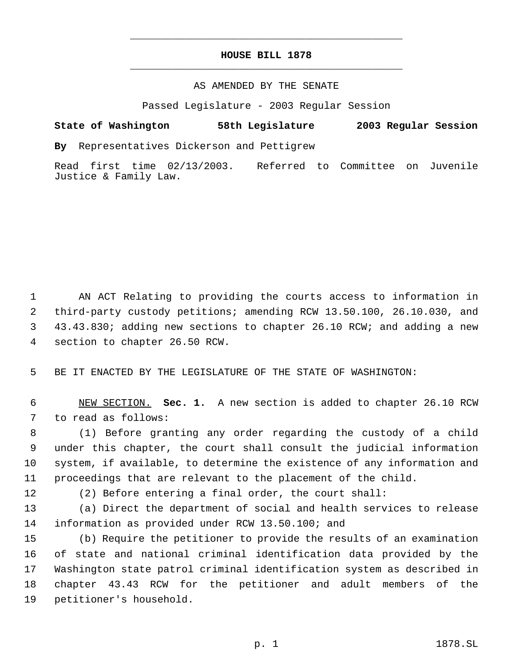## **HOUSE BILL 1878** \_\_\_\_\_\_\_\_\_\_\_\_\_\_\_\_\_\_\_\_\_\_\_\_\_\_\_\_\_\_\_\_\_\_\_\_\_\_\_\_\_\_\_\_\_

\_\_\_\_\_\_\_\_\_\_\_\_\_\_\_\_\_\_\_\_\_\_\_\_\_\_\_\_\_\_\_\_\_\_\_\_\_\_\_\_\_\_\_\_\_

## AS AMENDED BY THE SENATE

Passed Legislature - 2003 Regular Session

## **State of Washington 58th Legislature 2003 Regular Session**

**By** Representatives Dickerson and Pettigrew

Read first time 02/13/2003. Referred to Committee on Juvenile Justice & Family Law.

 AN ACT Relating to providing the courts access to information in third-party custody petitions; amending RCW 13.50.100, 26.10.030, and 43.43.830; adding new sections to chapter 26.10 RCW; and adding a new section to chapter 26.50 RCW.

BE IT ENACTED BY THE LEGISLATURE OF THE STATE OF WASHINGTON:

 NEW SECTION. **Sec. 1.** A new section is added to chapter 26.10 RCW to read as follows:

 (1) Before granting any order regarding the custody of a child under this chapter, the court shall consult the judicial information system, if available, to determine the existence of any information and proceedings that are relevant to the placement of the child.

(2) Before entering a final order, the court shall:

 (a) Direct the department of social and health services to release information as provided under RCW 13.50.100; and

 (b) Require the petitioner to provide the results of an examination of state and national criminal identification data provided by the Washington state patrol criminal identification system as described in chapter 43.43 RCW for the petitioner and adult members of the petitioner's household.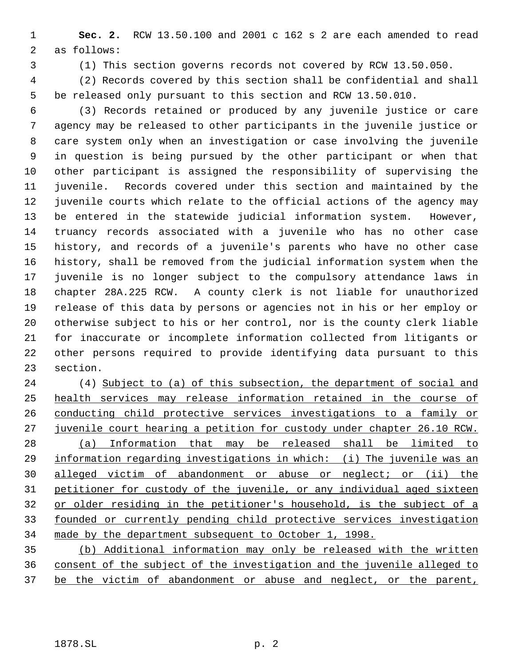**Sec. 2.** RCW 13.50.100 and 2001 c 162 s 2 are each amended to read as follows:

(1) This section governs records not covered by RCW 13.50.050.

 (2) Records covered by this section shall be confidential and shall be released only pursuant to this section and RCW 13.50.010.

- (3) Records retained or produced by any juvenile justice or care agency may be released to other participants in the juvenile justice or care system only when an investigation or case involving the juvenile in question is being pursued by the other participant or when that other participant is assigned the responsibility of supervising the juvenile. Records covered under this section and maintained by the juvenile courts which relate to the official actions of the agency may be entered in the statewide judicial information system. However, truancy records associated with a juvenile who has no other case history, and records of a juvenile's parents who have no other case history, shall be removed from the judicial information system when the juvenile is no longer subject to the compulsory attendance laws in chapter 28A.225 RCW. A county clerk is not liable for unauthorized release of this data by persons or agencies not in his or her employ or otherwise subject to his or her control, nor is the county clerk liable for inaccurate or incomplete information collected from litigants or other persons required to provide identifying data pursuant to this section.
- (4) Subject to (a) of this subsection, the department of social and health services may release information retained in the course of conducting child protective services investigations to a family or juvenile court hearing a petition for custody under chapter 26.10 RCW. (a) Information that may be released shall be limited to information regarding investigations in which: (i) The juvenile was an alleged victim of abandonment or abuse or neglect; or (ii) the petitioner for custody of the juvenile, or any individual aged sixteen or older residing in the petitioner's household, is the subject of a founded or currently pending child protective services investigation made by the department subsequent to October 1, 1998.
- (b) Additional information may only be released with the written consent of the subject of the investigation and the juvenile alleged to 37 be the victim of abandonment or abuse and neglect, or the parent,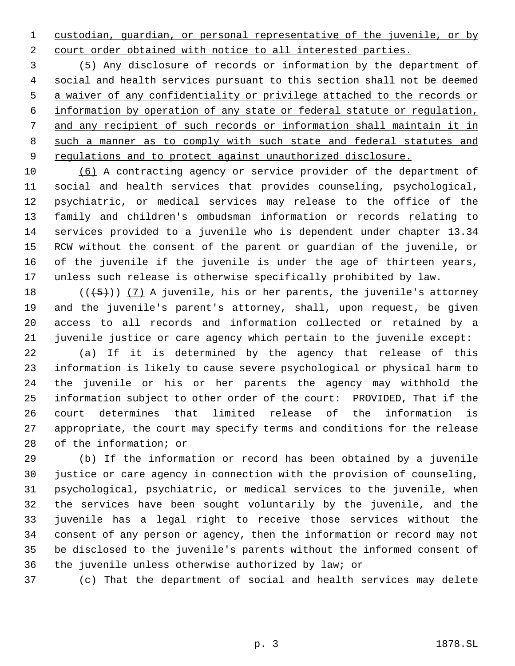custodian, guardian, or personal representative of the juvenile, or by court order obtained with notice to all interested parties.

 (5) Any disclosure of records or information by the department of social and health services pursuant to this section shall not be deemed a waiver of any confidentiality or privilege attached to the records or information by operation of any state or federal statute or regulation, and any recipient of such records or information shall maintain it in 8 such a manner as to comply with such state and federal statutes and 9 regulations and to protect against unauthorized disclosure.

 (6) A contracting agency or service provider of the department of social and health services that provides counseling, psychological, psychiatric, or medical services may release to the office of the family and children's ombudsman information or records relating to services provided to a juvenile who is dependent under chapter 13.34 RCW without the consent of the parent or guardian of the juvenile, or of the juvenile if the juvenile is under the age of thirteen years, unless such release is otherwise specifically prohibited by law.

 $((+5))$   $(7)$  A juvenile, his or her parents, the juvenile's attorney and the juvenile's parent's attorney, shall, upon request, be given access to all records and information collected or retained by a juvenile justice or care agency which pertain to the juvenile except:

 (a) If it is determined by the agency that release of this information is likely to cause severe psychological or physical harm to the juvenile or his or her parents the agency may withhold the information subject to other order of the court: PROVIDED, That if the court determines that limited release of the information is appropriate, the court may specify terms and conditions for the release of the information; or

 (b) If the information or record has been obtained by a juvenile justice or care agency in connection with the provision of counseling, psychological, psychiatric, or medical services to the juvenile, when the services have been sought voluntarily by the juvenile, and the juvenile has a legal right to receive those services without the consent of any person or agency, then the information or record may not be disclosed to the juvenile's parents without the informed consent of the juvenile unless otherwise authorized by law; or

(c) That the department of social and health services may delete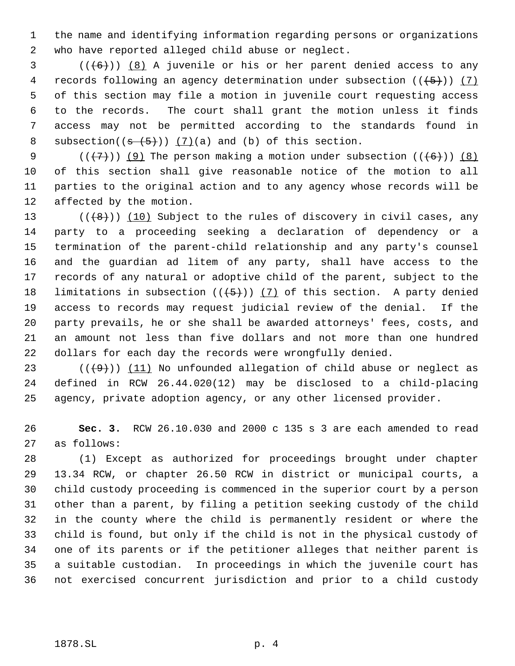the name and identifying information regarding persons or organizations who have reported alleged child abuse or neglect.

 (( $(6)$ )) (8) A juvenile or his or her parent denied access to any 4 records following an agency determination under subsection  $((+5))$  (7) of this section may file a motion in juvenile court requesting access to the records. The court shall grant the motion unless it finds access may not be permitted according to the standards found in 8 subsection( $(s-(5+))$   $(7)(a)$  and (b) of this section.

 $((\langle 7\rangle)(9)$  The person making a motion under subsection  $((\langle 6\rangle)(8)$  of this section shall give reasonable notice of the motion to all parties to the original action and to any agency whose records will be affected by the motion.

 $((+8))$   $(10)$  Subject to the rules of discovery in civil cases, any party to a proceeding seeking a declaration of dependency or a termination of the parent-child relationship and any party's counsel and the guardian ad litem of any party, shall have access to the records of any natural or adoptive child of the parent, subject to the 18 limitations in subsection  $((+5))$   $(7)$  of this section. A party denied access to records may request judicial review of the denial. If the party prevails, he or she shall be awarded attorneys' fees, costs, and an amount not less than five dollars and not more than one hundred dollars for each day the records were wrongfully denied.

23 ( $(\langle 49 \rangle)$ ) (11) No unfounded allegation of child abuse or neglect as defined in RCW 26.44.020(12) may be disclosed to a child-placing agency, private adoption agency, or any other licensed provider.

 **Sec. 3.** RCW 26.10.030 and 2000 c 135 s 3 are each amended to read as follows:

 (1) Except as authorized for proceedings brought under chapter 13.34 RCW, or chapter 26.50 RCW in district or municipal courts, a child custody proceeding is commenced in the superior court by a person other than a parent, by filing a petition seeking custody of the child in the county where the child is permanently resident or where the child is found, but only if the child is not in the physical custody of one of its parents or if the petitioner alleges that neither parent is a suitable custodian. In proceedings in which the juvenile court has not exercised concurrent jurisdiction and prior to a child custody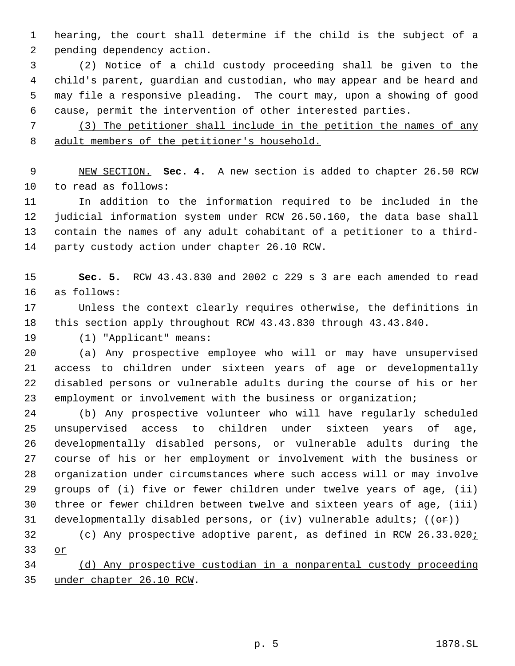hearing, the court shall determine if the child is the subject of a pending dependency action.

 (2) Notice of a child custody proceeding shall be given to the child's parent, guardian and custodian, who may appear and be heard and may file a responsive pleading. The court may, upon a showing of good cause, permit the intervention of other interested parties.

 (3) The petitioner shall include in the petition the names of any adult members of the petitioner's household.

 NEW SECTION. **Sec. 4.** A new section is added to chapter 26.50 RCW to read as follows:

 In addition to the information required to be included in the judicial information system under RCW 26.50.160, the data base shall contain the names of any adult cohabitant of a petitioner to a third-party custody action under chapter 26.10 RCW.

 **Sec. 5.** RCW 43.43.830 and 2002 c 229 s 3 are each amended to read as follows:

 Unless the context clearly requires otherwise, the definitions in this section apply throughout RCW 43.43.830 through 43.43.840.

(1) "Applicant" means:

 (a) Any prospective employee who will or may have unsupervised access to children under sixteen years of age or developmentally disabled persons or vulnerable adults during the course of his or her employment or involvement with the business or organization;

 (b) Any prospective volunteer who will have regularly scheduled unsupervised access to children under sixteen years of age, developmentally disabled persons, or vulnerable adults during the course of his or her employment or involvement with the business or organization under circumstances where such access will or may involve groups of (i) five or fewer children under twelve years of age, (ii) three or fewer children between twelve and sixteen years of age, (iii) 31 developmentally disabled persons, or (iv) vulnerable adults;  $((\theta \cdot \hat{r}))$ 

32 (c) Any prospective adoptive parent, as defined in RCW 26.33.020; or

 (d) Any prospective custodian in a nonparental custody proceeding under chapter 26.10 RCW.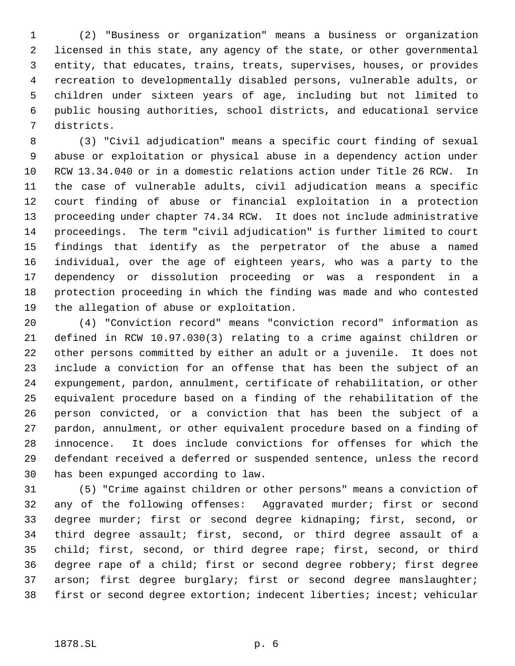(2) "Business or organization" means a business or organization licensed in this state, any agency of the state, or other governmental entity, that educates, trains, treats, supervises, houses, or provides recreation to developmentally disabled persons, vulnerable adults, or children under sixteen years of age, including but not limited to public housing authorities, school districts, and educational service districts.

 (3) "Civil adjudication" means a specific court finding of sexual abuse or exploitation or physical abuse in a dependency action under RCW 13.34.040 or in a domestic relations action under Title 26 RCW. In the case of vulnerable adults, civil adjudication means a specific court finding of abuse or financial exploitation in a protection proceeding under chapter 74.34 RCW. It does not include administrative proceedings. The term "civil adjudication" is further limited to court findings that identify as the perpetrator of the abuse a named individual, over the age of eighteen years, who was a party to the dependency or dissolution proceeding or was a respondent in a protection proceeding in which the finding was made and who contested the allegation of abuse or exploitation.

 (4) "Conviction record" means "conviction record" information as defined in RCW 10.97.030(3) relating to a crime against children or other persons committed by either an adult or a juvenile. It does not include a conviction for an offense that has been the subject of an expungement, pardon, annulment, certificate of rehabilitation, or other equivalent procedure based on a finding of the rehabilitation of the person convicted, or a conviction that has been the subject of a pardon, annulment, or other equivalent procedure based on a finding of innocence. It does include convictions for offenses for which the defendant received a deferred or suspended sentence, unless the record has been expunged according to law.

 (5) "Crime against children or other persons" means a conviction of any of the following offenses: Aggravated murder; first or second degree murder; first or second degree kidnaping; first, second, or third degree assault; first, second, or third degree assault of a child; first, second, or third degree rape; first, second, or third degree rape of a child; first or second degree robbery; first degree arson; first degree burglary; first or second degree manslaughter; first or second degree extortion; indecent liberties; incest; vehicular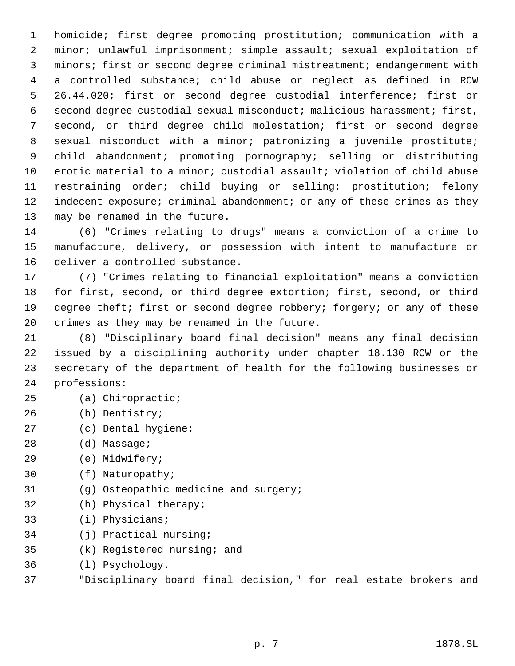homicide; first degree promoting prostitution; communication with a minor; unlawful imprisonment; simple assault; sexual exploitation of minors; first or second degree criminal mistreatment; endangerment with a controlled substance; child abuse or neglect as defined in RCW 26.44.020; first or second degree custodial interference; first or second degree custodial sexual misconduct; malicious harassment; first, second, or third degree child molestation; first or second degree sexual misconduct with a minor; patronizing a juvenile prostitute; child abandonment; promoting pornography; selling or distributing erotic material to a minor; custodial assault; violation of child abuse restraining order; child buying or selling; prostitution; felony 12 indecent exposure; criminal abandonment; or any of these crimes as they may be renamed in the future.

 (6) "Crimes relating to drugs" means a conviction of a crime to manufacture, delivery, or possession with intent to manufacture or deliver a controlled substance.

 (7) "Crimes relating to financial exploitation" means a conviction for first, second, or third degree extortion; first, second, or third 19 degree theft; first or second degree robbery; forgery; or any of these crimes as they may be renamed in the future.

 (8) "Disciplinary board final decision" means any final decision issued by a disciplining authority under chapter 18.130 RCW or the secretary of the department of health for the following businesses or professions:

- (a) Chiropractic;
- (b) Dentistry;
- (c) Dental hygiene;
- (d) Massage;
- (e) Midwifery;
- (f) Naturopathy;
- (g) Osteopathic medicine and surgery;
- (h) Physical therapy;
- (i) Physicians;
- (j) Practical nursing;
- (k) Registered nursing; and
- (l) Psychology.
- "Disciplinary board final decision," for real estate brokers and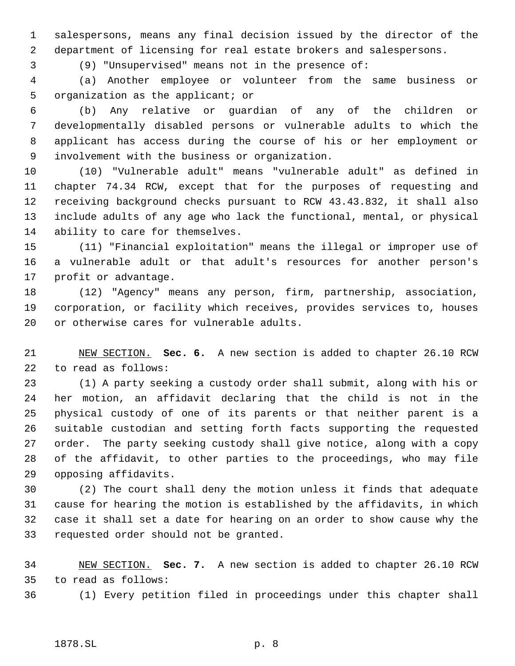salespersons, means any final decision issued by the director of the department of licensing for real estate brokers and salespersons.

(9) "Unsupervised" means not in the presence of:

 (a) Another employee or volunteer from the same business or organization as the applicant; or

 (b) Any relative or guardian of any of the children or developmentally disabled persons or vulnerable adults to which the applicant has access during the course of his or her employment or involvement with the business or organization.

 (10) "Vulnerable adult" means "vulnerable adult" as defined in chapter 74.34 RCW, except that for the purposes of requesting and receiving background checks pursuant to RCW 43.43.832, it shall also include adults of any age who lack the functional, mental, or physical ability to care for themselves.

 (11) "Financial exploitation" means the illegal or improper use of a vulnerable adult or that adult's resources for another person's profit or advantage.

 (12) "Agency" means any person, firm, partnership, association, corporation, or facility which receives, provides services to, houses or otherwise cares for vulnerable adults.

 NEW SECTION. **Sec. 6.** A new section is added to chapter 26.10 RCW to read as follows:

 (1) A party seeking a custody order shall submit, along with his or her motion, an affidavit declaring that the child is not in the physical custody of one of its parents or that neither parent is a suitable custodian and setting forth facts supporting the requested order. The party seeking custody shall give notice, along with a copy of the affidavit, to other parties to the proceedings, who may file opposing affidavits.

 (2) The court shall deny the motion unless it finds that adequate cause for hearing the motion is established by the affidavits, in which case it shall set a date for hearing on an order to show cause why the requested order should not be granted.

 NEW SECTION. **Sec. 7.** A new section is added to chapter 26.10 RCW to read as follows:

(1) Every petition filed in proceedings under this chapter shall